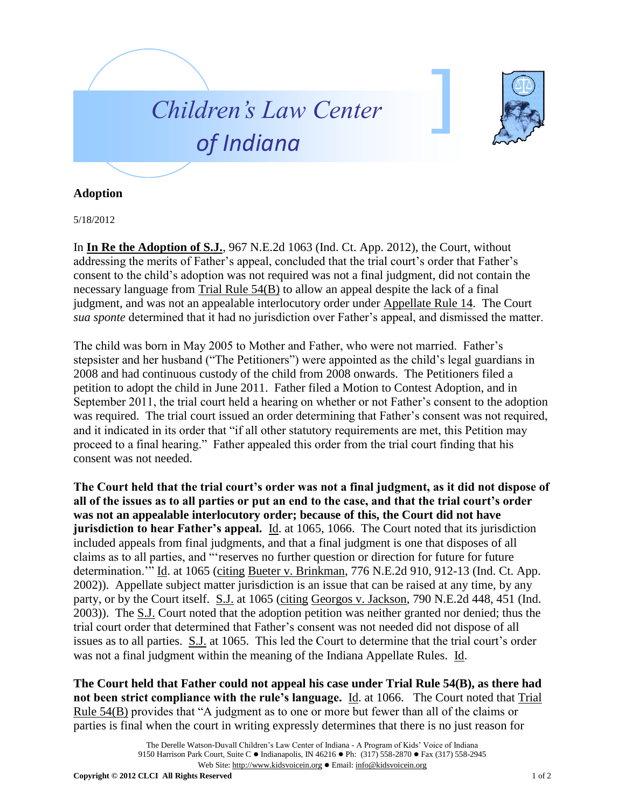



## **Adoption**

5/18/2012

In **In Re the Adoption of S.J.**, 967 N.E.2d 1063 (Ind. Ct. App. 2012), the Court, without addressing the merits of Father's appeal, concluded that the trial court's order that Father's consent to the child"s adoption was not required was not a final judgment, did not contain the necessary language from Trial Rule 54(B) to allow an appeal despite the lack of a final judgment, and was not an appealable interlocutory order under Appellate Rule 14. The Court *sua sponte* determined that it had no jurisdiction over Father"s appeal, and dismissed the matter.

The child was born in May 2005 to Mother and Father, who were not married. Father"s stepsister and her husband ("The Petitioners") were appointed as the child"s legal guardians in 2008 and had continuous custody of the child from 2008 onwards. The Petitioners filed a petition to adopt the child in June 2011. Father filed a Motion to Contest Adoption, and in September 2011, the trial court held a hearing on whether or not Father"s consent to the adoption was required. The trial court issued an order determining that Father's consent was not required, and it indicated in its order that "if all other statutory requirements are met, this Petition may proceed to a final hearing." Father appealed this order from the trial court finding that his consent was not needed.

**The Court held that the trial court's order was not a final judgment, as it did not dispose of all of the issues as to all parties or put an end to the case, and that the trial court's order was not an appealable interlocutory order; because of this, the Court did not have jurisdiction to hear Father's appeal.** Id. at 1065, 1066. The Court noted that its jurisdiction included appeals from final judgments, and that a final judgment is one that disposes of all claims as to all parties, and ""reserves no further question or direction for future for future determination."" Id. at 1065 (citing Bueter v. Brinkman, 776 N.E.2d 910, 912-13 (Ind. Ct. App. 2002)). Appellate subject matter jurisdiction is an issue that can be raised at any time, by any party, or by the Court itself. S.J. at 1065 (citing Georgos v. Jackson, 790 N.E.2d 448, 451 (Ind. 2003)). The S.J. Court noted that the adoption petition was neither granted nor denied; thus the trial court order that determined that Father"s consent was not needed did not dispose of all issues as to all parties. S.J. at 1065. This led the Court to determine that the trial court's order was not a final judgment within the meaning of the Indiana Appellate Rules. Id.

**The Court held that Father could not appeal his case under Trial Rule 54(B), as there had not been strict compliance with the rule's language.** Id. at 1066. The Court noted that Trial Rule 54(B) provides that "A judgment as to one or more but fewer than all of the claims or parties is final when the court in writing expressly determines that there is no just reason for